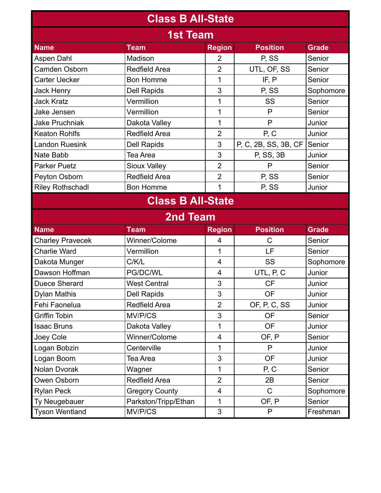| <b>Class B All-State</b> |                       |                                |                      |              |  |  |  |  |
|--------------------------|-----------------------|--------------------------------|----------------------|--------------|--|--|--|--|
| <b>1st Team</b>          |                       |                                |                      |              |  |  |  |  |
| <b>Name</b>              | <b>Team</b>           | <b>Region</b>                  | <b>Position</b>      | <b>Grade</b> |  |  |  |  |
| Aspen Dahl               | Madison               | $\overline{2}$                 | P, SS                | Senior       |  |  |  |  |
| Camden Osborn            | <b>Redfield Area</b>  | $\overline{2}$                 | UTL, OF, SS          | Senior       |  |  |  |  |
| <b>Carter Uecker</b>     | <b>Bon Homme</b>      | 1                              | IF, P                | Senior       |  |  |  |  |
| Jack Henry               | <b>Dell Rapids</b>    | 3                              | P, SS                | Sophomore    |  |  |  |  |
| <b>Jack Kratz</b>        | Vermillion            | 1                              | SS                   | Senior       |  |  |  |  |
| Jake Jensen              | Vermillion            | 1                              | P                    | Senior       |  |  |  |  |
| <b>Jake Pruchniak</b>    | Dakota Valley         | $\mathbf{1}$                   | P                    | Junior       |  |  |  |  |
| <b>Keaton Rohlfs</b>     | <b>Redfield Area</b>  | $\overline{2}$                 | P, C                 | Junior       |  |  |  |  |
| <b>Landon Ruesink</b>    | <b>Dell Rapids</b>    | 3                              | P, C, 2B, SS, 3B, CF | Senior       |  |  |  |  |
| Nate Babb                | Tea Area              | 3                              | P, SS, 3B            | Junior       |  |  |  |  |
| <b>Parker Puetz</b>      | <b>Sioux Valley</b>   | $\overline{2}$                 | P                    | Senior       |  |  |  |  |
| Peyton Osborn            | <b>Redfield Area</b>  | $\overline{2}$                 | P, SS                | Senior       |  |  |  |  |
| <b>Riley Rothschadl</b>  | <b>Bon Homme</b>      | 1                              | P, SS                | Junior       |  |  |  |  |
| <b>Class B All-State</b> |                       |                                |                      |              |  |  |  |  |
|                          | <b>2nd Team</b>       |                                |                      |              |  |  |  |  |
| <b>Name</b>              | <b>Team</b>           | <b>Region</b>                  | <b>Position</b>      | <b>Grade</b> |  |  |  |  |
| <b>Charley Pravecek</b>  | Winner/Colome         | 4                              | C                    | Senior       |  |  |  |  |
| <b>Charlie Ward</b>      | Vermillion            | $\mathbf 1$                    | LF                   | Senior       |  |  |  |  |
| Dakota Munger            | C/K/L<br>SS<br>4      |                                | Sophomore            |              |  |  |  |  |
| Dawson Hoffman           | PG/DC/WL<br>4         |                                | UTL, P, C            | Junior       |  |  |  |  |
| <b>Duece Sherard</b>     | <b>West Central</b>   | 3<br><b>CF</b>                 |                      | Junior       |  |  |  |  |
| <b>Dylan Mathis</b>      | <b>Dell Rapids</b>    | 3                              | <b>OF</b>            | Junior       |  |  |  |  |
| Fehi Faonelua            | <b>Redfield Area</b>  | OF, P, C, SS<br>$\overline{2}$ |                      | Junior       |  |  |  |  |
| Griffin Tobin            | MV/P/CS               | 3                              | <b>OF</b>            | Senior       |  |  |  |  |
| <b>Isaac Bruns</b>       | Dakota Valley         | 1                              | <b>OF</b>            | Junior       |  |  |  |  |
| Joey Cole                | Winner/Colome         | $\overline{\mathbf{4}}$        | OF, P                | Senior       |  |  |  |  |
| Logan Bobzin             | Centerville           | 1                              | P                    | Junior       |  |  |  |  |
| Logan Boom               | Tea Area              | 3                              | OF                   | Junior       |  |  |  |  |
| Nolan Dvorak             | Wagner                | $\mathbf{1}$                   | P, C                 | Senior       |  |  |  |  |
| Owen Osborn              | <b>Redfield Area</b>  | $\overline{2}$                 | 2B                   | Senior       |  |  |  |  |
| <b>Rylan Peck</b>        | <b>Gregory County</b> | $\overline{\mathbf{4}}$        | $\mathsf{C}$         | Sophomore    |  |  |  |  |
| Ty Neugebauer            | Parkston/Tripp/Ethan  | 1                              | OF, P                | Senior       |  |  |  |  |
| <b>Tyson Wentland</b>    | MV/P/CS               | 3                              | P                    | Freshman     |  |  |  |  |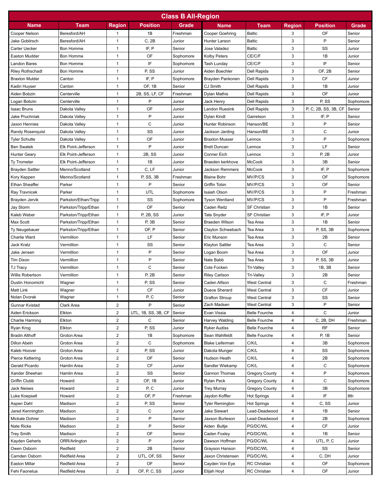| <b>Class B All-Region</b> |                      |                         |                     |           |                        |                       |               |                      |           |
|---------------------------|----------------------|-------------------------|---------------------|-----------|------------------------|-----------------------|---------------|----------------------|-----------|
| <b>Name</b>               | Team                 | <b>Region</b>           | <b>Position</b>     | Grade     | <b>Name</b>            | Team                  | <b>Region</b> | <b>Position</b>      | Grade     |
| Cooper Nelson             | Beresford/AH         | 1                       | 1B                  | Freshman  | Cooper Goehring        | <b>Baltic</b>         | 3             | OF                   | Senior    |
| Jake Goblirsch            | Beresford/AH         | 1                       | C, 2B               | Junior    | Hunter Larson          | <b>Baltic</b>         | 3             | P                    | Senior    |
| Carter Uecker             | <b>Bon Homme</b>     | 1                       | IF, P               | Senior    | Jose Valadez           | <b>Baltic</b>         | 3             | SS                   | Junior    |
| Easton Mudder             | <b>Bon Homme</b>     | $\mathbf{1}$            | <b>OF</b>           | Sophomore | <b>Kolby Peters</b>    | CE/C/F                | 3             | 1B                   | Junior    |
| Landon Bares              | Bon Homme            | $\mathbf{1}$            | IF                  | Sophomore | Tash Lunday            | CE/C/F                | 3             | IF                   | Senior    |
| Riley Rothschadl          | Bon Homme            | $\mathbf{1}$            | P, SS               | Junior    | Aiden Boechler         | <b>Dell Rapids</b>    | 3             | <b>OF, 2B</b>        | Senior    |
| <b>Braxton Mulder</b>     | Canton               | $\mathbf{1}$            | IF, P               | Sophomore | Brayden Pankonen       | <b>Dell Rapids</b>    | 3             | CF                   | Junior    |
| Kadin Huyser              | Canton               | $\mathbf{1}$            | OF, 1B              | Senior    | CJ Smith               | <b>Dell Rapids</b>    | 3             | 1B                   | Junior    |
| Aiden Bobzin              | Centerville          | $\mathbf{1}$            | 2B, SS, LF, CF      | Freshman  | <b>Dylan Mathis</b>    | <b>Dell Rapids</b>    | 3             | OF                   | Junior    |
| Logan Bobzin              | Centerville          | $\mathbf{1}$            | P                   | Junior    | Jack Henry             | <b>Dell Rapids</b>    | 3             | P, SS                | Sophomore |
| Isaac Bruns               | Dakota Valley        | $\mathbf{1}$            | OF                  | Junior    | Landon Ruesink         | Dell Rapids           | 3             | P, C, 2B, SS, 3B, CF | Senior    |
| Jake Pruchniak            | Dakota Valley        | $\mathbf{1}$            | P                   | Junior    | Dylan Kindt            | Garretson             | 3             | IF, P                | Senior    |
| Jaxon Hennies             | Dakota Valley        | $\mathbf{1}$            | C                   | Junior    | Hunter Robinson        | Hanson/BE             | 3             | P                    | Senior    |
| Randy Rosenguist          | Dakota Valley        | $\mathbf{1}$            | SS                  | Junior    | Jackson Jarding        | Hanson/BE             | 3             | C                    | Junior    |
| <b>Tyler Schutte</b>      | Dakota Valley        | $\mathbf{1}$            | OF                  | Junior    | <b>Braxton Musser</b>  | Lennox                | 3             | P                    | Sophomore |
| <b>Ben Swatek</b>         | Elk Point-Jefferson  | $\mathbf{1}$            | P                   | Junior    | <b>Brett Duncan</b>    | Lennox                | 3             | LF                   | Senior    |
| Hunter Geary              | Elk Point-Jefferson  | $\mathbf{1}$            | 2B, SS              | Junior    | Conner Eich            | Lennox                | 3             | P, 2B                | Junior    |
| Ty Trometer               | Elk Point-Jefferson  | $\mathbf{1}$            | 1B                  | Junior    | Braeden kerkhove       | <b>McCook</b>         | 3             | 3B                   | Senior    |
| <b>Brayden Sattler</b>    | Menno/Scotland       | $\mathbf{1}$            | C, LF               | Junior    | <b>Jackson Remmers</b> | <b>McCook</b>         | 3             | IF, P                | Sophomore |
| Kory Keppen               | Menno/Scotland       | 1                       | P, SS, 3B           | Freshman  | <b>Blaine Bohr</b>     | MV/P/CS               | 3             | OF                   | Sophomore |
| Ethan Sheaffer            | Parker               | $\mathbf{1}$            | P                   | Senior    | Griffin Tobin          | MV/P/CS               | 3             | OF                   | Senior    |
| Ray Travnicek             | Parker               | 1                       | UTL                 | Sophomore | <b>Isaiah Olson</b>    | MV/P/CS               | 3             | P                    | Freshman  |
| Brayden Jervik            | Parkston/Ethan/Tripp | $\mathbf{1}$            | SS                  | Sophomore | <b>Tyson Wentland</b>  | MV/P/CS               | 3             | P                    | Freshman  |
| Jay Storm                 | Parkston/Tripp/Ethan | $\mathbf{1}$            | OF                  | Senior    | Caden Reitz            | <b>SF Christian</b>   | 3             | 1B                   | Senior    |
| Kaleb Weber               | Parkston/Tripp/Ethan | $\mathbf{1}$            | P. 2B, SS           | Junior    | Tate Snyder            | SF Christian          | 3             | IF, P                | Junior    |
| Max Scott                 | Parkston/Tripp/Ethan | $\mathbf{1}$            | P, 3B               | Senior    | Braeden Wilson         | Tea Area              | 3             | 1B                   | Senior    |
| Ty Neugebauer             | Parkston/Tripp/Ethan | $\mathbf{1}$            | OF, P               | Senior    | Clayton Schwebach      | Tea Area              | 3             | P, SS, 3B            | Sophomore |
| Charlie Ward              | Vermillion           | $\mathbf{1}$            | LF                  | Senior    | Eric Munson            | Tea Area              | 3             | 2B                   | Senior    |
| Jack Kratz                | Vermillion           | $\mathbf{1}$            | SS                  | Senior    | <b>Klayton Sattler</b> | Tea Area              | 3             | C                    | Senior    |
| Jake Jensen               | Vermillion           | $\mathbf{1}$            | P                   | Senior    | Logan Boom             | Tea Area              | 3             | OF                   | Junior    |
| Tim Dixon                 | Vermillion           | $\mathbf{1}$            | P                   | Senior    | Nate Babb              | Tea Area              | 3             | P, SS, 3B            | Junior    |
| TJ Tracy                  | Vermillion           | $\mathbf{1}$            | C                   | Senior    | Cole Focken            | <b>Tri-Valley</b>     | 3             | 1B, 3B               | Senior    |
| Willis Robertson          | Vermillion           | $\mathbf{1}$            | P, 2B               | Senior    | <b>Riley Carlson</b>   | <b>Tri-Valley</b>     | 3             | 2B                   | Senior    |
| Dustin Honomichl          | Wagner               | $\mathbf{1}$            | P, SS               | Senior    | Caden Alfson           | <b>West Central</b>   | 3             | С                    | Freshman  |
| Matt Link                 | Wagner               | 1                       | <b>CF</b>           | Junior    | Duece Sherard          | West Central          | 3             | СF                   | Junior    |
| Nolan Dvorak              | Wagner               | $\mathbf{1}$            | P.C                 | Senior    | <b>Grafton Stroup</b>  | <b>West Central</b>   | 3             | SS                   | Senior    |
| Gunnar Kvistad            | Clark Area           | $\overline{\mathbf{c}}$ | P                   | Senior    | Zach Madsen            | <b>West Central</b>   | 3             | P                    | Senior    |
| Aiden Erickson            | Elkton               | $\sqrt{2}$              | UTL, 1B, SS, 3B, CF | Senior    | Evan Vissia            | <b>Belle Fourche</b>  | 4             | С                    | Junior    |
| Charlie Harming           | Elkton               | $\sqrt{2}$              | C                   | Senior    | Harvey Walding         | <b>Belle Fourche</b>  | 4             | C, 2B, DH            | Freshman  |
| Ryan Krog                 | Elkton               | $\overline{2}$          | P, SS               | Junior    | <b>Ryker Audiss</b>    | <b>Belle Fourche</b>  | 4             | RF                   | Senior    |
| Bradin Althoff            | Groton Area          | $\overline{2}$          | 1B                  | Sophomore | Sean Wahlfeldt         | <b>Belle Fourche</b>  | 4             | P, 1B                | Senior    |
| Dillon Abeln              | Groton Area          | $\overline{2}$          | C                   | Sophomore | <b>Blake Leiferman</b> | C/K/L                 | 4             | 3B                   | Sophomore |
| Kaleb Hoover              | Groton Area          | $\overline{\mathbf{c}}$ | P, SS               | Junior    | Dakota Munger          | C/K/L                 | 4             | SS                   | Sophomore |
| Pierce Kettering          | Groton Area          | $\overline{2}$          | OF                  | Senior    | Hudson Heath           | C/K/L                 | 4             | 2B                   | Sophomore |
| Gerald Picardo            | Hamlin Area          | $\overline{\mathbf{c}}$ | СF                  | Junior    | Sandler Wiekamp        | C/K/L                 | 4             | С                    | Sophomore |
| Xander Sheehan            | Hamlin Area          | $\overline{\mathbf{c}}$ | SS                  | Senior    | Gannon Thomas          | <b>Gregory County</b> | 4             | P                    | Sophomore |
| Griffin Clubb             | Howard               | $\overline{\mathbf{c}}$ | OF, 1B              | Junior    | Rylan Peck             | <b>Gregory County</b> | 4             | С                    | Sophomore |
| <b>Jack Neises</b>        | Howard               | $\overline{2}$          | P, C                | Junior    | <b>Trey Murray</b>     | <b>Gregory County</b> | 4             | 3B                   | Sophomore |
| Luke Koepsell             | Howard               | $\mathbf 2$             | OF, P               | Freshman  | Jaydon Koffler         | <b>Hot Springs</b>    | 4             | IF                   | 8th       |
| Aspen Dahl                | Madison              | $\overline{\mathbf{c}}$ | P, SS               | Senior    | <b>Tyler Remington</b> | <b>Hot Springs</b>    | 4             | C, SS                | Junior    |
| Jared Kennington          | Madison              | $\overline{\mathbf{c}}$ | С                   | Junior    | Jake Siewart           | Lead-Deadwood         | 4             | 1B                   | Senior    |
| Mickale Dohrer            | Madison              | $\overline{\mathbf{c}}$ | P                   | Senior    | Jaxson Burleson        | Lead-Deadwood         | 4             | 2B                   | Sophomore |
| Nate Ricke                | Madison              | $\overline{\mathbf{c}}$ | P                   | Senior    | Aiden Bultje           | PG/DC/WL              | 4             | CF                   | Junior    |
| Trey Smith                | Madison              | 2                       | OF                  | Senior    | Caden Foxley           | PG/DC/WL              | 4             | 1B                   | Senior    |
| Kayden Geherls            | ORR/Arlington        | $\overline{2}$          | P                   | Junior    | Dawson Hoffman         | PG/DC/WL              | 4             | UTL, P, C            | Junior    |
| Owen Osborn               | Redfield             | $\overline{2}$          | 2B                  | Senior    | Grayson Hanson         | PG/DC/WL              | 4             | SS                   | Senior    |
| Camden Osborn             | Redfield Area        | $\overline{2}$          | UTL, OF, SS         | Senior    | Jaxon Christensen      | PG/DC/WL              | 4             | C, DH                | Junior    |
| Easton Millar             | Redfield Area        | $\overline{2}$          | OF                  | Senior    | Cayden Von Eye         | <b>RC</b> Christian   | 4             | OF                   | Sophomore |
| Fehi Faonelua             | Redfield Area        | $\overline{2}$          | OF, P, C, SS        | Junior    | Elijah Hoyt            | <b>RC</b> Christian   | 4             | OF                   | Junior    |